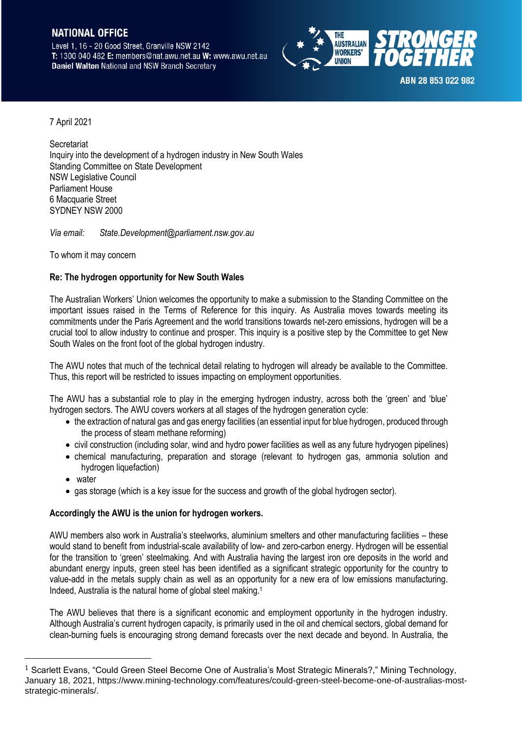## **NATIONAL OFFICE**

Level 1, 16 - 20 Good Street, Granville NSW 2142 T: 1300 040 482 E: members@nat.awu.net.au W: www.awu.net.au **Daniel Walton National and NSW Branch Secretary** 



7 April 2021

**Secretariat** Inquiry into the development of a hydrogen industry in New South Wales Standing Committee on State Development NSW Legislative Council Parliament House 6 Macquarie Street SYDNEY NSW 2000

*Via email: State.Development@parliament.nsw.gov.au*

To whom it may concern

## **Re: The hydrogen opportunity for New South Wales**

The Australian Workers' Union welcomes the opportunity to make a submission to the Standing Committee on the important issues raised in the Terms of Reference for this inquiry. As Australia moves towards meeting its commitments under the Paris Agreement and the world transitions towards net-zero emissions, hydrogen will be a crucial tool to allow industry to continue and prosper. This inquiry is a positive step by the Committee to get New South Wales on the front foot of the global hydrogen industry.

The AWU notes that much of the technical detail relating to hydrogen will already be available to the Committee. Thus, this report will be restricted to issues impacting on employment opportunities.

The AWU has a substantial role to play in the emerging hydrogen industry, across both the 'green' and 'blue' hydrogen sectors. The AWU covers workers at all stages of the hydrogen generation cycle:

- the extraction of natural gas and gas energy facilities (an essential input for blue hydrogen, produced through the process of steam methane reforming)
- civil construction (including solar, wind and hydro power facilities as well as any future hydryogen pipelines)
- chemical manufacturing, preparation and storage (relevant to hydrogen gas, ammonia solution and hydrogen liquefaction)
- water
- gas storage (which is a key issue for the success and growth of the global hydrogen sector).

## **Accordingly the AWU is the union for hydrogen workers.**

AWU members also work in Australia's steelworks, aluminium smelters and other manufacturing facilities – these would stand to benefit from industrial-scale availability of low- and zero-carbon energy. Hydrogen will be essential for the transition to 'green' steelmaking. And with Australia having the largest iron ore deposits in the world and abundant energy inputs, green steel has been identified as a significant strategic opportunity for the country to value-add in the metals supply chain as well as an opportunity for a new era of low emissions manufacturing. Indeed, Australia is the natural home of global steel making.<sup>1</sup>

The AWU believes that there is a significant economic and employment opportunity in the hydrogen industry. Although Australia's current hydrogen capacity, is primarily used in the oil and chemical sectors, global demand for clean-burning fuels is encouraging strong demand forecasts over the next decade and beyond. In Australia, the

<sup>1</sup> Scarlett Evans, "Could Green Steel Become One of Australia's Most Strategic Minerals?," Mining Technology, January 18, 2021, https://www.mining-technology.com/features/could-green-steel-become-one-of-australias-moststrategic-minerals/.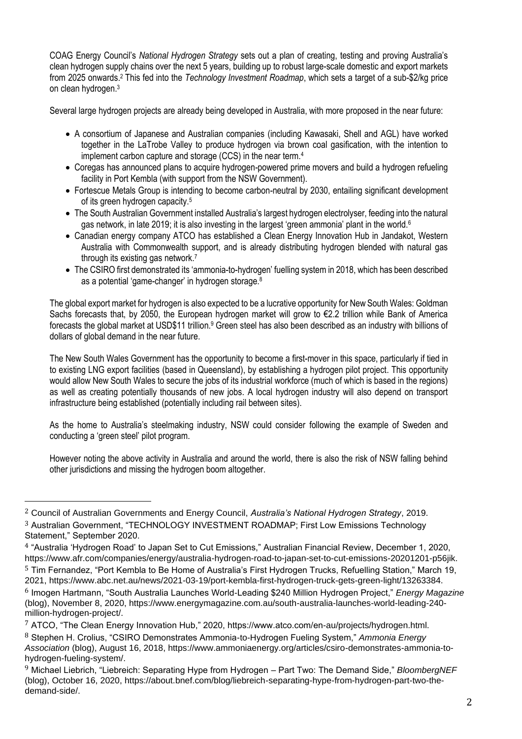COAG Energy Council's *National Hydrogen Strategy* sets out a plan of creating, testing and proving Australia's clean hydrogen supply chains over the next 5 years, building up to robust large-scale domestic and export markets from 2025 onwards.<sup>2</sup> This fed into the *Technology Investment Roadmap*, which sets a target of a sub-\$2/kg price on clean hydrogen.<sup>3</sup>

Several large hydrogen projects are already being developed in Australia, with more proposed in the near future:

- A consortium of Japanese and Australian companies (including Kawasaki, Shell and AGL) have worked together in the LaTrobe Valley to produce hydrogen via brown coal gasification, with the intention to implement carbon capture and storage (CCS) in the near term.<sup>4</sup>
- Coregas has announced plans to acquire hydrogen-powered prime movers and build a hydrogen refueling facility in Port Kembla (with support from the NSW Government).
- Fortescue Metals Group is intending to become carbon-neutral by 2030, entailing significant development of its green hydrogen capacity.<sup>5</sup>
- The South Australian Government installed Australia's largest hydrogen electrolyser, feeding into the natural gas network, in late 2019; it is also investing in the largest 'green ammonia' plant in the world.<sup>6</sup>
- Canadian energy company ATCO has established a Clean Energy Innovation Hub in Jandakot, Western Australia with Commonwealth support, and is already distributing hydrogen blended with natural gas through its existing gas network. 7
- The CSIRO first demonstrated its 'ammonia-to-hydrogen' fuelling system in 2018, which has been described as a potential 'game-changer' in hydrogen storage.<sup>8</sup>

The global export market for hydrogen is also expected to be a lucrative opportunity for New South Wales: Goldman Sachs forecasts that, by 2050, the European hydrogen market will grow to €2.2 trillion while Bank of America forecasts the global market at USD\$11 trillion.<sup>9</sup> Green steel has also been described as an industry with billions of dollars of global demand in the near future.

The New South Wales Government has the opportunity to become a first-mover in this space, particularly if tied in to existing LNG export facilities (based in Queensland), by establishing a hydrogen pilot project. This opportunity would allow New South Wales to secure the jobs of its industrial workforce (much of which is based in the regions) as well as creating potentially thousands of new jobs. A local hydrogen industry will also depend on transport infrastructure being established (potentially including rail between sites).

As the home to Australia's steelmaking industry, NSW could consider following the example of Sweden and conducting a 'green steel' pilot program.

However noting the above activity in Australia and around the world, there is also the risk of NSW falling behind other jurisdictions and missing the hydrogen boom altogether.

<sup>2</sup> Council of Australian Governments and Energy Council, *Australia's National Hydrogen Strategy*, 2019. 3 Australian Government, "TECHNOLOGY INVESTMENT ROADMAP; First Low Emissions Technology Statement," September 2020.

<sup>4</sup> "Australia 'Hydrogen Road' to Japan Set to Cut Emissions," Australian Financial Review, December 1, 2020, https://www.afr.com/companies/energy/australia-hydrogen-road-to-japan-set-to-cut-emissions-20201201-p56jik. 5 Tim Fernandez, "Port Kembla to Be Home of Australia's First Hydrogen Trucks, Refuelling Station," March 19, 2021, https://www.abc.net.au/news/2021-03-19/port-kembla-first-hydrogen-truck-gets-green-light/13263384. 6 Imogen Hartmann, "South Australia Launches World-Leading \$240 Million Hydrogen Project," *Energy Magazine* (blog), November 8, 2020, https://www.energymagazine.com.au/south-australia-launches-world-leading-240 million-hydrogen-project/.

<sup>7</sup> ATCO, "The Clean Energy Innovation Hub," 2020, https://www.atco.com/en-au/projects/hydrogen.html. 8 Stephen H. Crolius, "CSIRO Demonstrates Ammonia-to-Hydrogen Fueling System," *Ammonia Energy Association* (blog), August 16, 2018, https://www.ammoniaenergy.org/articles/csiro-demonstrates-ammonia-tohydrogen-fueling-system/.

<sup>9</sup> Michael Liebrich, "Liebreich: Separating Hype from Hydrogen – Part Two: The Demand Side," *BloombergNEF* (blog), October 16, 2020, https://about.bnef.com/blog/liebreich-separating-hype-from-hydrogen-part-two-thedemand-side/.